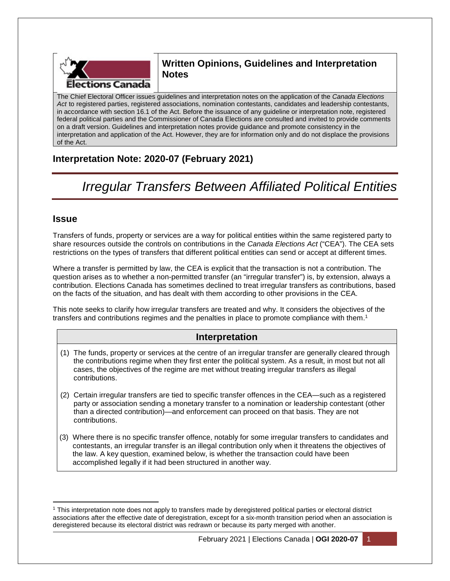

# **Written Opinions, Guidelines and Interpretation Notes**

The Chief Electoral Officer issues guidelines and interpretation notes on the application of the *Canada Elections Act* to registered parties, registered associations, nomination contestants, candidates and leadership contestants, in accordance with section 16.1 of the Act. Before the issuance of any guideline or interpretation note, registered federal political parties and the Commissioner of Canada Elections are consulted and invited to provide comments on a draft version. Guidelines and interpretation notes provide guidance and promote consistency in the interpretation and application of the Act. However, they are for information only and do not displace the provisions of the Act.

# **Interpretation Note: 2020-07 (February 2021)**

# *Irregular Transfers Between Affiliated Political Entities*

### **Issue**

l

Transfers of funds, property or services are a way for political entities within the same registered party to share resources outside the controls on contributions in the *Canada Elections Act* ("CEA"). The CEA sets restrictions on the types of transfers that different political entities can send or accept at different times.

Where a transfer is permitted by law, the CEA is explicit that the transaction is not a contribution. The question arises as to whether a non-permitted transfer (an "irregular transfer") is, by extension, always a contribution. Elections Canada has sometimes declined to treat irregular transfers as contributions, based on the facts of the situation, and has dealt with them according to other provisions in the CEA.

This note seeks to clarify how irregular transfers are treated and why. It considers the objectives of the transfers and contributions regimes and the penalties in place to promote compliance with them.<sup>1</sup>

## **Interpretation**

- (1) The funds, property or services at the centre of an irregular transfer are generally cleared through the contributions regime when they first enter the political system. As a result, in most but not all cases, the objectives of the regime are met without treating irregular transfers as illegal contributions.
- (2) Certain irregular transfers are tied to specific transfer offences in the CEA—such as a registered party or association sending a monetary transfer to a nomination or leadership contestant (other than a directed contribution)—and enforcement can proceed on that basis. They are not contributions.
- (3) Where there is no specific transfer offence, notably for some irregular transfers to candidates and contestants, an irregular transfer is an illegal contribution only when it threatens the objectives of the law. A key question, examined below, is whether the transaction could have been accomplished legally if it had been structured in another way.

<sup>1</sup> This interpretation note does not apply to transfers made by deregistered political parties or electoral district associations after the effective date of deregistration, except for a six-month transition period when an association is deregistered because its electoral district was redrawn or because its party merged with another.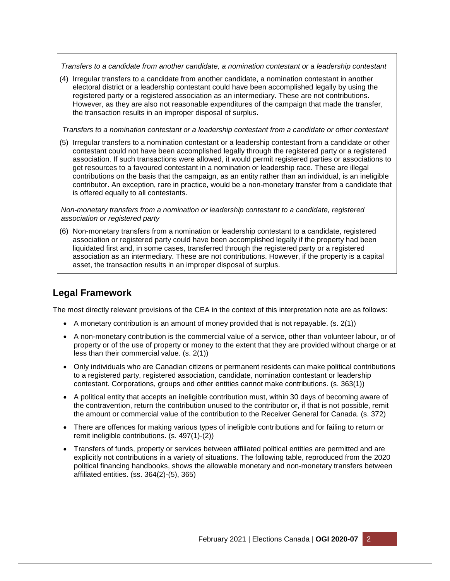*Transfers to a candidate from another candidate, a nomination contestant or a leadership contestant* 

(4) Irregular transfers to a candidate from another candidate, a nomination contestant in another electoral district or a leadership contestant could have been accomplished legally by using the registered party or a registered association as an intermediary. These are not contributions. However, as they are also not reasonable expenditures of the campaign that made the transfer, the transaction results in an improper disposal of surplus.

*Transfers to a nomination contestant or a leadership contestant from a candidate or other contestant* 

(5) Irregular transfers to a nomination contestant or a leadership contestant from a candidate or other contestant could not have been accomplished legally through the registered party or a registered association. If such transactions were allowed, it would permit registered parties or associations to get resources to a favoured contestant in a nomination or leadership race. These are illegal contributions on the basis that the campaign, as an entity rather than an individual, is an ineligible contributor. An exception, rare in practice, would be a non-monetary transfer from a candidate that is offered equally to all contestants.

*Non-monetary transfers from a nomination or leadership contestant to a candidate, registered association or registered party* 

(6) Non-monetary transfers from a nomination or leadership contestant to a candidate, registered association or registered party could have been accomplished legally if the property had been liquidated first and, in some cases, transferred through the registered party or a registered association as an intermediary. These are not contributions. However, if the property is a capital asset, the transaction results in an improper disposal of surplus.

## **Legal Framework**

The most directly relevant provisions of the CEA in the context of this interpretation note are as follows:

- $\bullet$  A monetary contribution is an amount of money provided that is not repayable. (s. 2(1))
- A non-monetary contribution is the commercial value of a service, other than volunteer labour, or of property or of the use of property or money to the extent that they are provided without charge or at less than their commercial value. (s. 2(1))
- Only individuals who are Canadian citizens or permanent residents can make political contributions to a registered party, registered association, candidate, nomination contestant or leadership contestant. Corporations, groups and other entities cannot make contributions. (s. 363(1))
- A political entity that accepts an ineligible contribution must, within 30 days of becoming aware of the contravention, return the contribution unused to the contributor or, if that is not possible, remit the amount or commercial value of the contribution to the Receiver General for Canada. (s. 372)
- There are offences for making various types of ineligible contributions and for failing to return or remit ineligible contributions. (s. 497(1)-(2))
- Transfers of funds, property or services between affiliated political entities are permitted and are explicitly not contributions in a variety of situations. The following table, reproduced from the 2020 political financing handbooks, shows the allowable monetary and non-monetary transfers between affiliated entities. (ss. 364(2)-(5), 365)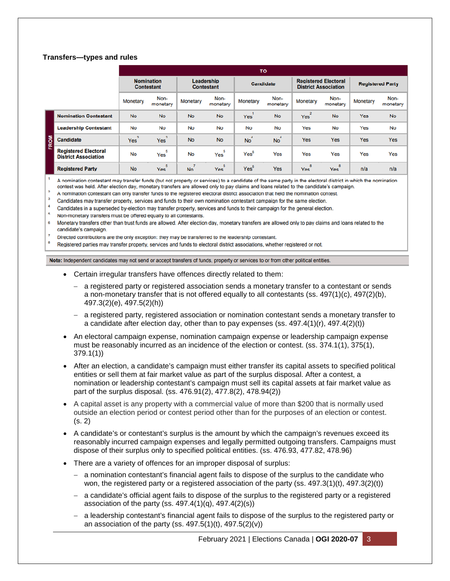#### **Transfers—types and rules**

|      |                                                            | TO                                     |                  |                                                            |                       |                                                            |                           |                  |                         |                 |                  |
|------|------------------------------------------------------------|----------------------------------------|------------------|------------------------------------------------------------|-----------------------|------------------------------------------------------------|---------------------------|------------------|-------------------------|-----------------|------------------|
|      |                                                            | <b>Nomination</b><br><b>Contestant</b> |                  | <b>Leadership</b><br><b>Candidate</b><br><b>Contestant</b> |                       | <b>Registered Electoral</b><br><b>District Association</b> |                           |                  | <b>Registered Party</b> |                 |                  |
|      |                                                            | <b>Monetary</b>                        | Non-<br>monetary | <b>Monetary</b>                                            | Non-<br>monetary      | <b>Monetary</b>                                            | Non-<br>monetary          | <b>Monetary</b>  | Non-<br>monetary        | <b>Monetary</b> | Non-<br>monetary |
|      | <b>Nomination Contestant</b>                               | <b>No</b>                              | <b>No</b>        | <b>No</b>                                                  | <b>No</b>             | Yes <sup>'</sup>                                           | <b>No</b>                 | Yes <sup>2</sup> | <b>No</b>               | Yes             | <b>No</b>        |
| FROM | <b>Leadership Contestant</b>                               | <b>No</b>                              | <b>No</b>        | <b>No</b>                                                  | <b>No</b>             | <b>No</b>                                                  | <b>No</b>                 | Yes              | No                      | Yes             | No               |
|      | <b>Candidate</b>                                           | Yes                                    | Yes              | <b>No</b>                                                  | <b>No</b>             | <b>No</b>                                                  | $\mathbf{A}$<br><b>No</b> | <b>Yes</b>       | <b>Yes</b>              | <b>Yes</b>      | <b>Yes</b>       |
|      | <b>Registered Electoral</b><br><b>District Association</b> | <b>No</b>                              | 5<br>Yes         | <b>No</b>                                                  | 5<br>Yes <sup>"</sup> | Yes <sup>6</sup>                                           | Yes                       | Yes              | Yes                     | Yes             | Yes              |
|      | <b>Registered Party</b>                                    | <b>No</b>                              | -5<br><b>Yes</b> | No <sup>1</sup>                                            | -5<br>Yes             | Yes <sup>6</sup>                                           | Yes                       | -8<br><b>Yes</b> | -8<br><b>Yes</b>        | n/a             | n/a              |

A nomination contestant may transfer funds (but not property or services) to a candidate of the same party in the electoral district in which the nomination contest was held. After election day, monetary transfers are allowed only to pay claims and loans related to the candidate's campaign.

A nomination contestant can only transfer funds to the registered electoral district association that held the nomination contest.

Candidates may transfer property, services and funds to their own nomination contestant campaign for the same election.

Candidates in a superseded by-election may transfer property, services and funds to their campaign for the general election.

Non-monetary transfers must be offered equally to all contestants.

Monetary transfers other than trust funds are allowed. After election day, monetary transfers are allowed only to pay claims and loans related to the candidate's campaign.

Directed contributions are the only exception: they may be transferred to the leadership contestant.

Registered parties may transfer property, services and funds to electoral district associations, whether registered or not.

Note: Independent candidates may not send or accept transfers of funds, property or services to or from other political entities.

- Certain irregular transfers have offences directly related to them:
	- $-$  a registered party or registered association sends a monetary transfer to a contestant or sends a non-monetary transfer that is not offered equally to all contestants (ss. 497(1)(c), 497(2)(b), 497.3(2)(e), 497.5(2)(h))
	- a registered party, registered association or nomination contestant sends a monetary transfer to a candidate after election day, other than to pay expenses (ss. 497.4(1)(r), 497.4(2)(t))
- An electoral campaign expense, nomination campaign expense or leadership campaign expense must be reasonably incurred as an incidence of the election or contest. (ss. 374.1(1), 375(1), 379.1(1))
- After an election, a candidate's campaign must either transfer its capital assets to specified political entities or sell them at fair market value as part of the surplus disposal. After a contest, a nomination or leadership contestant's campaign must sell its capital assets at fair market value as part of the surplus disposal. (ss. 476.91(2), 477.8(2), 478.94(2))
- A capital asset is any property with a commercial value of more than \$200 that is normally used outside an election period or contest period other than for the purposes of an election or contest. (s. 2)
- A candidate's or contestant's surplus is the amount by which the campaign's revenues exceed its reasonably incurred campaign expenses and legally permitted outgoing transfers. Campaigns must dispose of their surplus only to specified political entities. (ss. 476.93, 477.82, 478.96)
- There are a variety of offences for an improper disposal of surplus:
	- $-$  a nomination contestant's financial agent fails to dispose of the surplus to the candidate who won, the registered party or a registered association of the party (ss. 497.3(1)(t), 497.3(2)(t))
	- $-$  a candidate's official agent fails to dispose of the surplus to the registered party or a registered association of the party (ss.  $497.4(1)(q)$ ,  $497.4(2)(s)$ )
	- a leadership contestant's financial agent fails to dispose of the surplus to the registered party or an association of the party (ss.  $497.5(1)(t)$ ,  $497.5(2)(v)$ )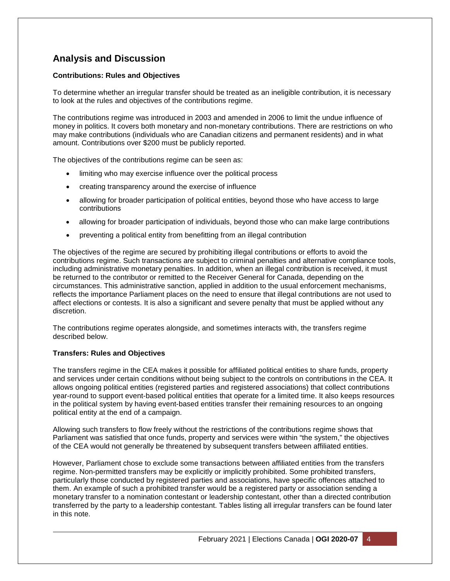# **Analysis and Discussion**

#### **Contributions: Rules and Objectives**

To determine whether an irregular transfer should be treated as an ineligible contribution, it is necessary to look at the rules and objectives of the contributions regime.

The contributions regime was introduced in 2003 and amended in 2006 to limit the undue influence of money in politics. It covers both monetary and non-monetary contributions. There are restrictions on who may make contributions (individuals who are Canadian citizens and permanent residents) and in what amount. Contributions over \$200 must be publicly reported.

The objectives of the contributions regime can be seen as:

- limiting who may exercise influence over the political process
- creating transparency around the exercise of influence
- allowing for broader participation of political entities, beyond those who have access to large contributions
- allowing for broader participation of individuals, beyond those who can make large contributions
- preventing a political entity from benefitting from an illegal contribution

The objectives of the regime are secured by prohibiting illegal contributions or efforts to avoid the contributions regime. Such transactions are subject to criminal penalties and alternative compliance tools, including administrative monetary penalties. In addition, when an illegal contribution is received, it must be returned to the contributor or remitted to the Receiver General for Canada, depending on the circumstances. This administrative sanction, applied in addition to the usual enforcement mechanisms, reflects the importance Parliament places on the need to ensure that illegal contributions are not used to affect elections or contests. It is also a significant and severe penalty that must be applied without any discretion.

The contributions regime operates alongside, and sometimes interacts with, the transfers regime described below.

#### **Transfers: Rules and Objectives**

The transfers regime in the CEA makes it possible for affiliated political entities to share funds, property and services under certain conditions without being subject to the controls on contributions in the CEA. It allows ongoing political entities (registered parties and registered associations) that collect contributions year-round to support event-based political entities that operate for a limited time. It also keeps resources in the political system by having event-based entities transfer their remaining resources to an ongoing political entity at the end of a campaign.

Allowing such transfers to flow freely without the restrictions of the contributions regime shows that Parliament was satisfied that once funds, property and services were within "the system," the objectives of the CEA would not generally be threatened by subsequent transfers between affiliated entities.

However, Parliament chose to exclude some transactions between affiliated entities from the transfers regime. Non-permitted transfers may be explicitly or implicitly prohibited. Some prohibited transfers, particularly those conducted by registered parties and associations, have specific offences attached to them. An example of such a prohibited transfer would be a registered party or association sending a monetary transfer to a nomination contestant or leadership contestant, other than a directed contribution transferred by the party to a leadership contestant. Tables listing all irregular transfers can be found later in this note.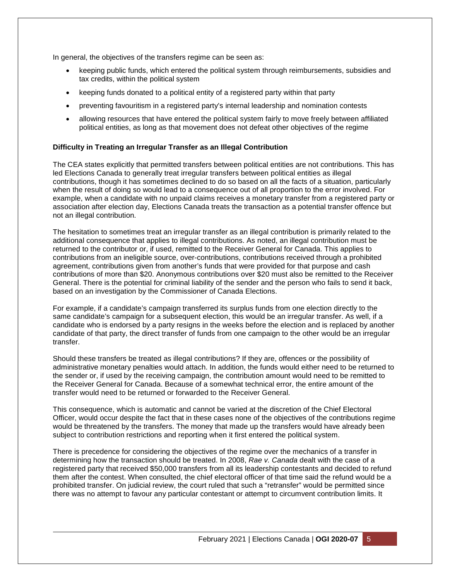In general, the objectives of the transfers regime can be seen as:

- keeping public funds, which entered the political system through reimbursements, subsidies and tax credits, within the political system
- keeping funds donated to a political entity of a registered party within that party
- preventing favouritism in a registered party's internal leadership and nomination contests
- allowing resources that have entered the political system fairly to move freely between affiliated political entities, as long as that movement does not defeat other objectives of the regime

#### **Difficulty in Treating an Irregular Transfer as an Illegal Contribution**

The CEA states explicitly that permitted transfers between political entities are not contributions. This has led Elections Canada to generally treat irregular transfers between political entities as illegal contributions, though it has sometimes declined to do so based on all the facts of a situation, particularly when the result of doing so would lead to a consequence out of all proportion to the error involved. For example, when a candidate with no unpaid claims receives a monetary transfer from a registered party or association after election day, Elections Canada treats the transaction as a potential transfer offence but not an illegal contribution.

The hesitation to sometimes treat an irregular transfer as an illegal contribution is primarily related to the additional consequence that applies to illegal contributions. As noted, an illegal contribution must be returned to the contributor or, if used, remitted to the Receiver General for Canada. This applies to contributions from an ineligible source, over-contributions, contributions received through a prohibited agreement, contributions given from another's funds that were provided for that purpose and cash contributions of more than \$20. Anonymous contributions over \$20 must also be remitted to the Receiver General. There is the potential for criminal liability of the sender and the person who fails to send it back, based on an investigation by the Commissioner of Canada Elections.

For example, if a candidate's campaign transferred its surplus funds from one election directly to the same candidate's campaign for a subsequent election, this would be an irregular transfer. As well, if a candidate who is endorsed by a party resigns in the weeks before the election and is replaced by another candidate of that party, the direct transfer of funds from one campaign to the other would be an irregular transfer.

Should these transfers be treated as illegal contributions? If they are, offences or the possibility of administrative monetary penalties would attach. In addition, the funds would either need to be returned to the sender or, if used by the receiving campaign, the contribution amount would need to be remitted to the Receiver General for Canada. Because of a somewhat technical error, the entire amount of the transfer would need to be returned or forwarded to the Receiver General.

This consequence, which is automatic and cannot be varied at the discretion of the Chief Electoral Officer, would occur despite the fact that in these cases none of the objectives of the contributions regime would be threatened by the transfers. The money that made up the transfers would have already been subject to contribution restrictions and reporting when it first entered the political system.

There is precedence for considering the objectives of the regime over the mechanics of a transfer in determining how the transaction should be treated. In 2008, *Rae v. Canada* dealt with the case of a registered party that received \$50,000 transfers from all its leadership contestants and decided to refund them after the contest. When consulted, the chief electoral officer of that time said the refund would be a prohibited transfer. On judicial review, the court ruled that such a "retransfer" would be permitted since there was no attempt to favour any particular contestant or attempt to circumvent contribution limits. It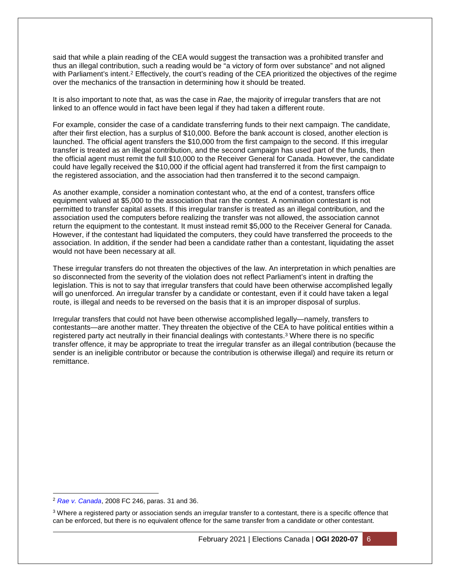said that while a plain reading of the CEA would suggest the transaction was a prohibited transfer and thus an illegal contribution, such a reading would be "a victory of form over substance" and not aligned with Parliament's intent.<sup>2</sup> Effectively, the court's reading of the CEA prioritized the objectives of the regime over the mechanics of the transaction in determining how it should be treated.

It is also important to note that, as was the case in *Rae*, the majority of irregular transfers that are not linked to an offence would in fact have been legal if they had taken a different route.

For example, consider the case of a candidate transferring funds to their next campaign. The candidate, after their first election, has a surplus of \$10,000. Before the bank account is closed, another election is launched. The official agent transfers the \$10,000 from the first campaign to the second. If this irregular transfer is treated as an illegal contribution, and the second campaign has used part of the funds, then the official agent must remit the full \$10,000 to the Receiver General for Canada. However, the candidate could have legally received the \$10,000 if the official agent had transferred it from the first campaign to the registered association, and the association had then transferred it to the second campaign.

As another example, consider a nomination contestant who, at the end of a contest, transfers office equipment valued at \$5,000 to the association that ran the contest. A nomination contestant is not permitted to transfer capital assets. If this irregular transfer is treated as an illegal contribution, and the association used the computers before realizing the transfer was not allowed, the association cannot return the equipment to the contestant. It must instead remit \$5,000 to the Receiver General for Canada. However, if the contestant had liquidated the computers, they could have transferred the proceeds to the association. In addition, if the sender had been a candidate rather than a contestant, liquidating the asset would not have been necessary at all.

These irregular transfers do not threaten the objectives of the law. An interpretation in which penalties are so disconnected from the severity of the violation does not reflect Parliament's intent in drafting the legislation. This is not to say that irregular transfers that could have been otherwise accomplished legally will go unenforced. An irregular transfer by a candidate or contestant, even if it could have taken a legal route, is illegal and needs to be reversed on the basis that it is an improper disposal of surplus.

Irregular transfers that could not have been otherwise accomplished legally—namely, transfers to contestants—are another matter. They threaten the objective of the CEA to have political entities within a registered party act neutrally in their financial dealings with contestants.<sup>3</sup> Where there is no specific transfer offence, it may be appropriate to treat the irregular transfer as an illegal contribution (because the sender is an ineligible contributor or because the contribution is otherwise illegal) and require its return or remittance.

l

<sup>2</sup> *[Rae v. Canada](https://recueil.fja-cmf.gc.ca/fja-cmf/j/en/item/330928/index.do)*, 2008 FC 246, paras. 31 and 36.

 $3$  Where a registered party or association sends an irregular transfer to a contestant, there is a specific offence that can be enforced, but there is no equivalent offence for the same transfer from a candidate or other contestant.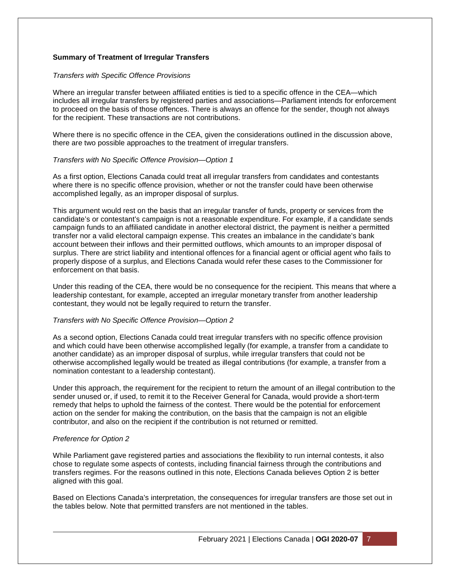#### **Summary of Treatment of Irregular Transfers**

#### *Transfers with Specific Offence Provisions*

Where an irregular transfer between affiliated entities is tied to a specific offence in the CEA—which includes all irregular transfers by registered parties and associations—Parliament intends for enforcement to proceed on the basis of those offences. There is always an offence for the sender, though not always for the recipient. These transactions are not contributions.

Where there is no specific offence in the CEA, given the considerations outlined in the discussion above, there are two possible approaches to the treatment of irregular transfers.

#### *Transfers with No Specific Offence Provision—Option 1*

As a first option, Elections Canada could treat all irregular transfers from candidates and contestants where there is no specific offence provision, whether or not the transfer could have been otherwise accomplished legally, as an improper disposal of surplus.

This argument would rest on the basis that an irregular transfer of funds, property or services from the candidate's or contestant's campaign is not a reasonable expenditure. For example, if a candidate sends campaign funds to an affiliated candidate in another electoral district, the payment is neither a permitted transfer nor a valid electoral campaign expense. This creates an imbalance in the candidate's bank account between their inflows and their permitted outflows, which amounts to an improper disposal of surplus. There are strict liability and intentional offences for a financial agent or official agent who fails to properly dispose of a surplus, and Elections Canada would refer these cases to the Commissioner for enforcement on that basis.

Under this reading of the CEA, there would be no consequence for the recipient. This means that where a leadership contestant, for example, accepted an irregular monetary transfer from another leadership contestant, they would not be legally required to return the transfer.

#### *Transfers with No Specific Offence Provision—Option 2*

As a second option, Elections Canada could treat irregular transfers with no specific offence provision and which could have been otherwise accomplished legally (for example, a transfer from a candidate to another candidate) as an improper disposal of surplus, while irregular transfers that could not be otherwise accomplished legally would be treated as illegal contributions (for example, a transfer from a nomination contestant to a leadership contestant).

Under this approach, the requirement for the recipient to return the amount of an illegal contribution to the sender unused or, if used, to remit it to the Receiver General for Canada, would provide a short-term remedy that helps to uphold the fairness of the contest. There would be the potential for enforcement action on the sender for making the contribution, on the basis that the campaign is not an eligible contributor, and also on the recipient if the contribution is not returned or remitted.

#### *Preference for Option 2*

While Parliament gave registered parties and associations the flexibility to run internal contests, it also chose to regulate some aspects of contests, including financial fairness through the contributions and transfers regimes. For the reasons outlined in this note, Elections Canada believes Option 2 is better aligned with this goal.

Based on Elections Canada's interpretation, the consequences for irregular transfers are those set out in the tables below. Note that permitted transfers are not mentioned in the tables.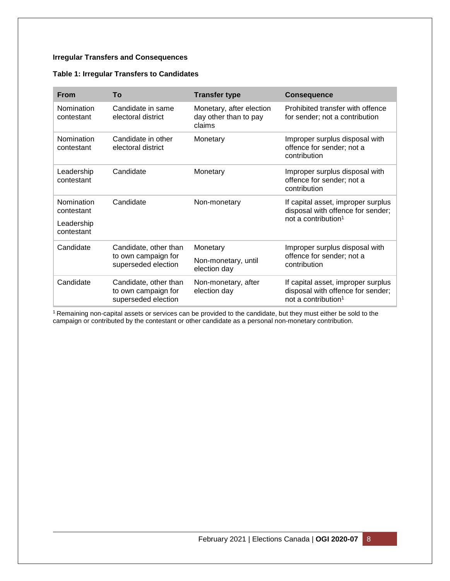## **Irregular Transfers and Consequences**

#### **Table 1: Irregular Transfers to Candidates**

| <b>From</b>                                          | Тο                                                                  | <b>Transfer type</b>                                        | <b>Consequence</b>                                                                                         |
|------------------------------------------------------|---------------------------------------------------------------------|-------------------------------------------------------------|------------------------------------------------------------------------------------------------------------|
| Nomination<br>contestant                             | Candidate in same<br>electoral district                             | Monetary, after election<br>day other than to pay<br>claims | Prohibited transfer with offence<br>for sender; not a contribution                                         |
| Nomination<br>contestant                             | Candidate in other<br>electoral district                            | Monetary                                                    | Improper surplus disposal with<br>offence for sender; not a<br>contribution                                |
| Leadership<br>contestant                             | Candidate                                                           | Monetary                                                    | Improper surplus disposal with<br>offence for sender; not a<br>contribution                                |
| Nomination<br>contestant<br>Leadership<br>contestant | Candidate                                                           | Non-monetary                                                | If capital asset, improper surplus<br>disposal with offence for sender;<br>not a contribution <sup>1</sup> |
| Candidate                                            | Candidate, other than<br>to own campaign for<br>superseded election | Monetary<br>Non-monetary, until<br>election day             | Improper surplus disposal with<br>offence for sender; not a<br>contribution                                |
| Candidate                                            | Candidate, other than<br>to own campaign for<br>superseded election | Non-monetary, after<br>election day                         | If capital asset, improper surplus<br>disposal with offence for sender;<br>not a contribution <sup>1</sup> |

<sup>1</sup> Remaining non-capital assets or services can be provided to the candidate, but they must either be sold to the campaign or contributed by the contestant or other candidate as a personal non-monetary contribution.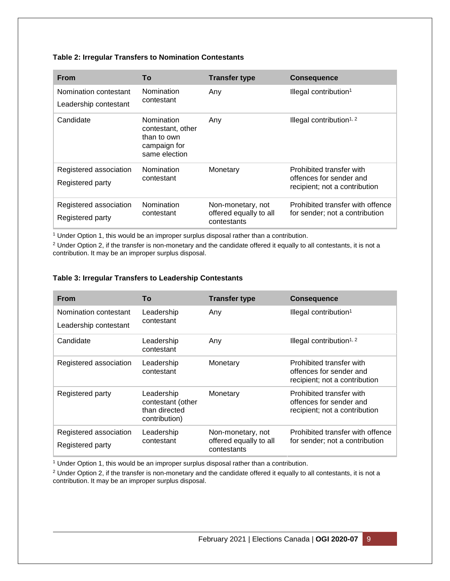| <b>Table 2: Irregular Transfers to Nomination Contestants</b> |  |
|---------------------------------------------------------------|--|
|---------------------------------------------------------------|--|

| <b>From</b>                                    | To                                                                                     | <b>Transfer type</b>                                       | <b>Consequence</b>                                                                   |
|------------------------------------------------|----------------------------------------------------------------------------------------|------------------------------------------------------------|--------------------------------------------------------------------------------------|
| Nomination contestant<br>Leadership contestant | <b>Nomination</b><br>contestant                                                        | Any                                                        | Illegal contribution <sup>1</sup>                                                    |
| Candidate                                      | <b>Nomination</b><br>contestant, other<br>than to own<br>campaign for<br>same election | Any                                                        | Illegal contribution <sup>1, 2</sup>                                                 |
| Registered association<br>Registered party     | <b>Nomination</b><br>contestant                                                        | Monetary                                                   | Prohibited transfer with<br>offences for sender and<br>recipient; not a contribution |
| Registered association<br>Registered party     | Nomination<br>contestant                                                               | Non-monetary, not<br>offered equally to all<br>contestants | Prohibited transfer with offence<br>for sender; not a contribution                   |

<sup>1</sup> Under Option 1, this would be an improper surplus disposal rather than a contribution.

 $2$  Under Option 2, if the transfer is non-monetary and the candidate offered it equally to all contestants, it is not a contribution. It may be an improper surplus disposal.

#### **Table 3: Irregular Transfers to Leadership Contestants**

| <b>From</b>                                    | To                                                                | <b>Transfer type</b>                                       | <b>Consequence</b>                                                                   |
|------------------------------------------------|-------------------------------------------------------------------|------------------------------------------------------------|--------------------------------------------------------------------------------------|
| Nomination contestant<br>Leadership contestant | Leadership<br>contestant                                          | Any                                                        | Illegal contribution <sup>1</sup>                                                    |
| Candidate                                      | Leadership<br>contestant                                          | Any                                                        | Illegal contribution <sup>1, 2</sup>                                                 |
| Registered association                         | Leadership<br>contestant                                          | Monetary                                                   | Prohibited transfer with<br>offences for sender and<br>recipient; not a contribution |
| Registered party                               | Leadership<br>contestant (other<br>than directed<br>contribution) | Monetary                                                   | Prohibited transfer with<br>offences for sender and<br>recipient; not a contribution |
| Registered association<br>Registered party     | Leadership<br>contestant                                          | Non-monetary, not<br>offered equally to all<br>contestants | Prohibited transfer with offence<br>for sender; not a contribution                   |

<sup>1</sup> Under Option 1, this would be an improper surplus disposal rather than a contribution.

 $2$  Under Option 2, if the transfer is non-monetary and the candidate offered it equally to all contestants, it is not a contribution. It may be an improper surplus disposal.